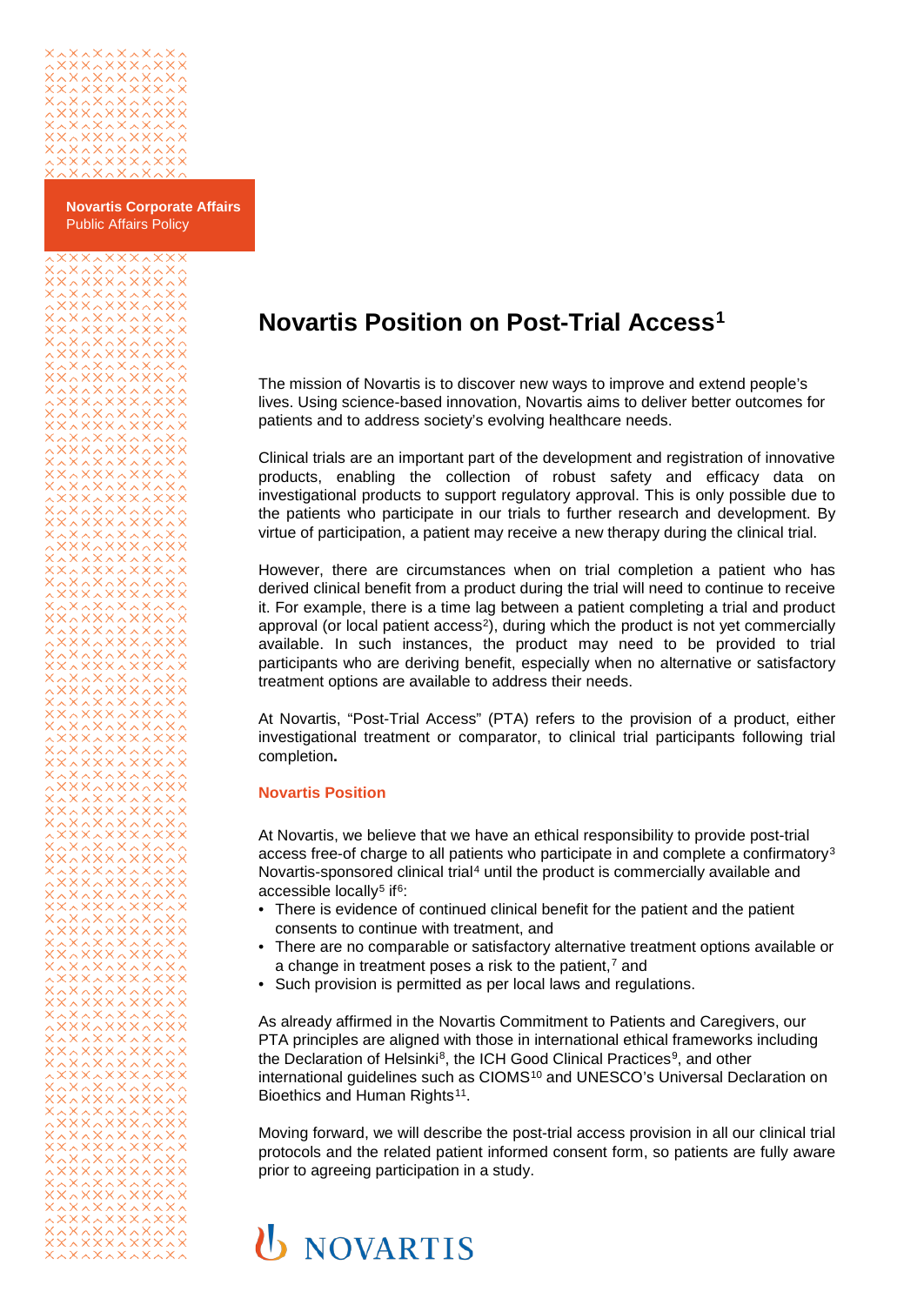

**Novartis Corporate Affairs** Public Affairs Policy

## **Novartis Position on Post-Trial Access[1](#page-1-0)**

The mission of Novartis is to discover new ways to improve and extend people's lives. Using science-based innovation, Novartis aims to deliver better outcomes for patients and to address society's evolving healthcare needs.

Clinical trials are an important part of the development and registration of innovative products, enabling the collection of robust safety and efficacy data on investigational products to support regulatory approval. This is only possible due to the patients who participate in our trials to further research and development. By virtue of participation, a patient may receive a new therapy during the clinical trial.

However, there are circumstances when on trial completion a patient who has derived clinical benefit from a product during the trial will need to continue to receive it. For example, there is a time lag between a patient completing a trial and product approval (or local patient access<sup>2</sup>), during which the product is not yet commercially available. In such instances, the product may need to be provided to trial participants who are deriving benefit, especially when no alternative or satisfactory treatment options are available to address their needs.

At Novartis, "Post-Trial Access" (PTA) refers to the provision of a product, either investigational treatment or comparator, to clinical trial participants following trial completion**.**

## **Novartis Position**

At Novartis, we believe that we have an ethical responsibility to provide post-trial access free-of charge to all patients who participate in and complete a confirmatory[3](#page-1-2) Novartis-sponsored clinical trial[4](#page-1-3) until the product is commercially available and accessible locally<sup>[5](#page-1-4)</sup> if  $6$ :

- There is evidence of continued clinical benefit for the patient and the patient consents to continue with treatment, and
- There are no comparable or satisfactory alternative treatment options available or a change in treatment poses a risk to the patient, $<sup>7</sup>$  $<sup>7</sup>$  $<sup>7</sup>$  and</sup>
- Such provision is permitted as per local laws and regulations.

As already affirmed in the Novartis Commitment to Patients and Caregivers, our PTA principles are aligned with those in international ethical frameworks including the Declaration of Helsinki<sup>8</sup>, the ICH Good Clinical Practices<sup>9</sup>, and other international guidelines such as CIOMS<sup>[10](#page-1-9)</sup> and UNESCO's Universal Declaration on Bioethics and Human Rights<sup>[11](#page-1-10)</sup>.

Moving forward, we will describe the post-trial access provision in all our clinical trial protocols and the related patient informed consent form, so patients are fully aware prior to agreeing participation in a study.

## **U** NOVARTIS